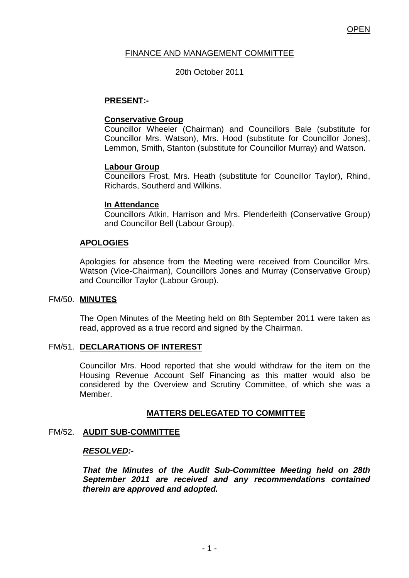# FINANCE AND MANAGEMENT COMMITTEE

## 20th October 2011

## **PRESENT:-**

### **Conservative Group**

Councillor Wheeler (Chairman) and Councillors Bale (substitute for Councillor Mrs. Watson), Mrs. Hood (substitute for Councillor Jones), Lemmon, Smith, Stanton (substitute for Councillor Murray) and Watson.

### **Labour Group**

Councillors Frost, Mrs. Heath (substitute for Councillor Taylor), Rhind, Richards, Southerd and Wilkins.

### **In Attendance**

Councillors Atkin, Harrison and Mrs. Plenderleith (Conservative Group) and Councillor Bell (Labour Group).

## **APOLOGIES**

Apologies for absence from the Meeting were received from Councillor Mrs. Watson (Vice-Chairman), Councillors Jones and Murray (Conservative Group) and Councillor Taylor (Labour Group).

### FM/50. **MINUTES**

The Open Minutes of the Meeting held on 8th September 2011 were taken as read, approved as a true record and signed by the Chairman.

## FM/51. **DECLARATIONS OF INTEREST**

Councillor Mrs. Hood reported that she would withdraw for the item on the Housing Revenue Account Self Financing as this matter would also be considered by the Overview and Scrutiny Committee, of which she was a Member.

## **MATTERS DELEGATED TO COMMITTEE**

# FM/52. **AUDIT SUB-COMMITTEE**

### *RESOLVED:-*

*That the Minutes of the Audit Sub-Committee Meeting held on 28th September 2011 are received and any recommendations contained therein are approved and adopted.*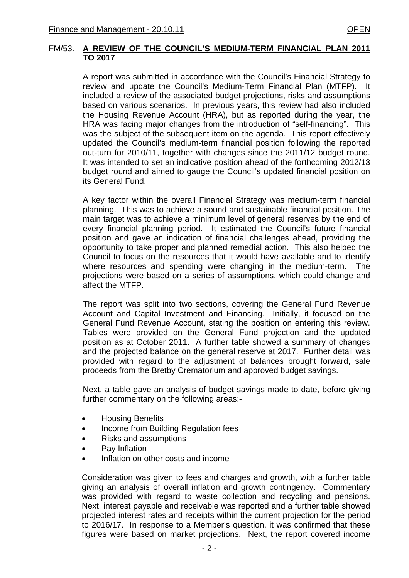A report was submitted in accordance with the Council's Financial Strategy to review and update the Council's Medium-Term Financial Plan (MTFP). It included a review of the associated budget projections, risks and assumptions based on various scenarios. In previous years, this review had also included the Housing Revenue Account (HRA), but as reported during the year, the HRA was facing major changes from the introduction of "self-financing". This was the subject of the subsequent item on the agenda. This report effectively updated the Council's medium-term financial position following the reported out-turn for 2010/11, together with changes since the 2011/12 budget round. It was intended to set an indicative position ahead of the forthcoming 2012/13 budget round and aimed to gauge the Council's updated financial position on its General Fund.

A key factor within the overall Financial Strategy was medium-term financial planning. This was to achieve a sound and sustainable financial position. The main target was to achieve a minimum level of general reserves by the end of every financial planning period. It estimated the Council's future financial position and gave an indication of financial challenges ahead, providing the opportunity to take proper and planned remedial action. This also helped the Council to focus on the resources that it would have available and to identify where resources and spending were changing in the medium-term. The projections were based on a series of assumptions, which could change and affect the MTFP.

The report was split into two sections, covering the General Fund Revenue Account and Capital Investment and Financing. Initially, it focused on the General Fund Revenue Account, stating the position on entering this review. Tables were provided on the General Fund projection and the updated position as at October 2011. A further table showed a summary of changes and the projected balance on the general reserve at 2017. Further detail was provided with regard to the adjustment of balances brought forward, sale proceeds from the Bretby Crematorium and approved budget savings.

Next, a table gave an analysis of budget savings made to date, before giving further commentary on the following areas:-

- Housing Benefits
- Income from Building Regulation fees
- Risks and assumptions
- Pay Inflation
- Inflation on other costs and income

 Consideration was given to fees and charges and growth, with a further table giving an analysis of overall inflation and growth contingency. Commentary was provided with regard to waste collection and recycling and pensions. Next, interest payable and receivable was reported and a further table showed projected interest rates and receipts within the current projection for the period to 2016/17. In response to a Member's question, it was confirmed that these figures were based on market projections. Next, the report covered income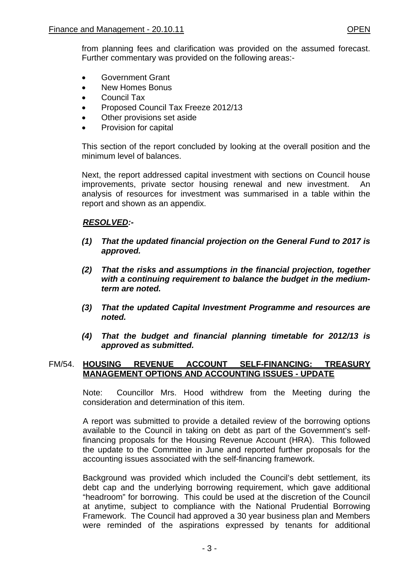- Government Grant
- New Homes Bonus
- Council Tax
- Proposed Council Tax Freeze 2012/13
- Other provisions set aside
- Provision for capital

This section of the report concluded by looking at the overall position and the minimum level of balances.

Next, the report addressed capital investment with sections on Council house improvements, private sector housing renewal and new investment. An analysis of resources for investment was summarised in a table within the report and shown as an appendix.

# *RESOLVED:-*

- *(1) That the updated financial projection on the General Fund to 2017 is approved.*
- *(2) That the risks and assumptions in the financial projection, together with a continuing requirement to balance the budget in the mediumterm are noted.*
- *(3) That the updated Capital Investment Programme and resources are noted.*
- *(4) That the budget and financial planning timetable for 2012/13 is approved as submitted.*

# FM/54. **HOUSING REVENUE ACCOUNT SELF-FINANCING: TREASURY MANAGEMENT OPTIONS AND ACCOUNTING ISSUES - UPDATE**

Note: Councillor Mrs. Hood withdrew from the Meeting during the consideration and determination of this item.

A report was submitted to provide a detailed review of the borrowing options available to the Council in taking on debt as part of the Government's selffinancing proposals for the Housing Revenue Account (HRA). This followed the update to the Committee in June and reported further proposals for the accounting issues associated with the self-financing framework.

Background was provided which included the Council's debt settlement, its debt cap and the underlying borrowing requirement, which gave additional "headroom" for borrowing. This could be used at the discretion of the Council at anytime, subject to compliance with the National Prudential Borrowing Framework. The Council had approved a 30 year business plan and Members were reminded of the aspirations expressed by tenants for additional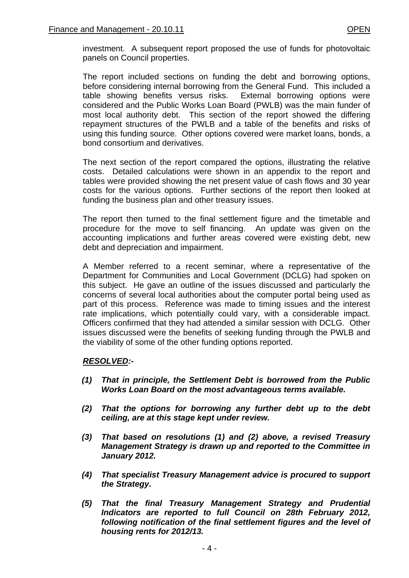investment. A subsequent report proposed the use of funds for photovoltaic panels on Council properties.

The report included sections on funding the debt and borrowing options, before considering internal borrowing from the General Fund. This included a table showing benefits versus risks. External borrowing options were considered and the Public Works Loan Board (PWLB) was the main funder of most local authority debt. This section of the report showed the differing repayment structures of the PWLB and a table of the benefits and risks of using this funding source. Other options covered were market loans, bonds, a bond consortium and derivatives.

The next section of the report compared the options, illustrating the relative costs. Detailed calculations were shown in an appendix to the report and tables were provided showing the net present value of cash flows and 30 year costs for the various options. Further sections of the report then looked at funding the business plan and other treasury issues.

The report then turned to the final settlement figure and the timetable and procedure for the move to self financing. An update was given on the accounting implications and further areas covered were existing debt, new debt and depreciation and impairment.

A Member referred to a recent seminar, where a representative of the Department for Communities and Local Government (DCLG) had spoken on this subject. He gave an outline of the issues discussed and particularly the concerns of several local authorities about the computer portal being used as part of this process. Reference was made to timing issues and the interest rate implications, which potentially could vary, with a considerable impact. Officers confirmed that they had attended a similar session with DCLG. Other issues discussed were the benefits of seeking funding through the PWLB and the viability of some of the other funding options reported.

## *RESOLVED:-*

- *(1) That in principle, the Settlement Debt is borrowed from the Public Works Loan Board on the most advantageous terms available.*
- *(2) That the options for borrowing any further debt up to the debt ceiling, are at this stage kept under review.*
- *(3) That based on resolutions (1) and (2) above, a revised Treasury Management Strategy is drawn up and reported to the Committee in January 2012.*
- *(4) That specialist Treasury Management advice is procured to support the Strategy.*
- *(5) That the final Treasury Management Strategy and Prudential Indicators are reported to full Council on 28th February 2012, following notification of the final settlement figures and the level of housing rents for 2012/13.*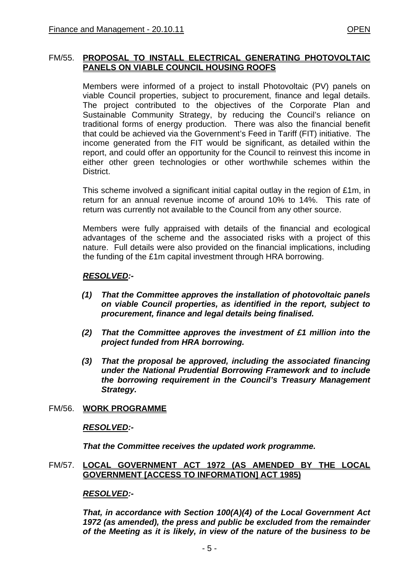# FM/55. **PROPOSAL TO INSTALL ELECTRICAL GENERATING PHOTOVOLTAIC PANELS ON VIABLE COUNCIL HOUSING ROOFS**

Members were informed of a project to install Photovoltaic (PV) panels on viable Council properties, subject to procurement, finance and legal details. The project contributed to the objectives of the Corporate Plan and Sustainable Community Strategy, by reducing the Council's reliance on traditional forms of energy production. There was also the financial benefit that could be achieved via the Government's Feed in Tariff (FIT) initiative. The income generated from the FIT would be significant, as detailed within the report, and could offer an opportunity for the Council to reinvest this income in either other green technologies or other worthwhile schemes within the District.

This scheme involved a significant initial capital outlay in the region of £1m, in return for an annual revenue income of around 10% to 14%. This rate of return was currently not available to the Council from any other source.

Members were fully appraised with details of the financial and ecological advantages of the scheme and the associated risks with a project of this nature. Full details were also provided on the financial implications, including the funding of the £1m capital investment through HRA borrowing.

# *RESOLVED:-*

- *(1) That the Committee approves the installation of photovoltaic panels on viable Council properties, as identified in the report, subject to procurement, finance and legal details being finalised.*
- *(2) That the Committee approves the investment of £1 million into the project funded from HRA borrowing.*
- *(3) That the proposal be approved, including the associated financing under the National Prudential Borrowing Framework and to include the borrowing requirement in the Council's Treasury Management Strategy.*

## FM/56. **WORK PROGRAMME**

## *RESOLVED:-*

*That the Committee receives the updated work programme.* 

## FM/57. **LOCAL GOVERNMENT ACT 1972 (AS AMENDED BY THE LOCAL GOVERNMENT [ACCESS TO INFORMATION] ACT 1985)**

## *RESOLVED:-*

*That, in accordance with Section 100(A)(4) of the Local Government Act 1972 (as amended), the press and public be excluded from the remainder of the Meeting as it is likely, in view of the nature of the business to be*